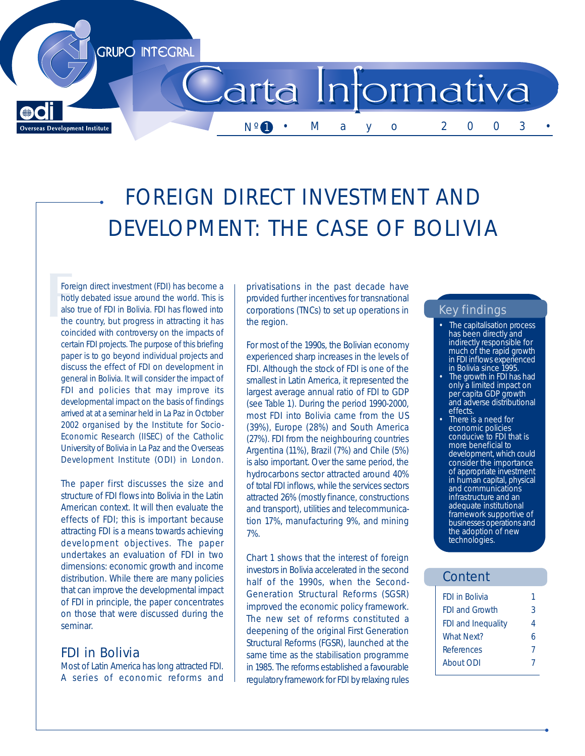

# FOREIGN DIRECT INVESTMENT AND DEVELOPMENT: THE CASE OF BOLIVIA

Foreign direct investment (FDI) has become a hotly debated issue around the world. This is also true of FDI in Bolivia. FDI has flowed into the country, but progress in attracting it has coincided with controversy on the impacts of certain FDI projects. The purpose of this briefing paper is to go beyond individual projects and discuss the effect of FDI on development in general in Bolivia. It will consider the impact of FDI and policies that may improve its developmental impact on the basis of findings arrived at at a seminar held in La Paz in October 2002 organised by the Institute for Socio-Economic Research (IISEC) of the Catholic University of Bolivia in La Paz and the Overseas Development Institute (ODI) in London.

The paper first discusses the size and structure of FDI flows into Bolivia in the Latin American context. It will then evaluate the effects of FDI; this is important because attracting FDI is a means towards achieving development objectives. The paper undertakes an evaluation of FDI in two dimensions: economic growth and income distribution. While there are many policies that can improve the developmental impact of FDI in principle, the paper concentrates on those that were discussed during the seminar.

FDI in Bolivia Most of Latin America has long attracted FDI. A series of economic reforms and

privatisations in the past decade have provided further incentives for transnational corporations (TNCs) to set up operations in the region.

For most of the 1990s, the Bolivian economy experienced sharp increases in the levels of FDI. Although the stock of FDI is one of the smallest in Latin America, it represented the largest average annual ratio of FDI to GDP (see Table 1). During the period 1990-2000, most FDI into Bolivia came from the US (39%), Europe (28%) and South America (27%). FDI from the neighbouring countries Argentina (11%), Brazil (7%) and Chile (5%) is also important. Over the same period, the hydrocarbons sector attracted around 40% of total FDI inflows, while the services sectors attracted 26% (mostly finance, constructions and transport), utilities and telecommunication 17%, manufacturing 9%, and mining 7%.

Chart 1 shows that the interest of foreign investors in Bolivia accelerated in the second half of the 1990s, when the Second-Generation Structural Reforms (SGSR) improved the economic policy framework. The new set of reforms constituted a deepening of the original First Generation Structural Reforms (FGSR), launched at the same time as the stabilisation programme in 1985. The reforms established a favourable regulatory framework for FDI by relaxing rules

### Key findings

- The capitalisation process has been directly and indirectly responsible for much of the rapid growth in FDI inflows experienced in Bolivia since 1995.
- The growth in FDI has had only a limited impact on per capita GDP growth and adverse distributional effects.
- There is a need for economic policies conducive to FDI that is more beneficial to development, which could consider the importance of appropriate investment in human capital, physical and communications infrastructure and an adequate institutional framework supportive of businesses operations and the adoption of new technologies.

### Content

| FDI in Bolivia                 |  |
|--------------------------------|--|
| <b>FDI and Growth</b><br>3     |  |
| <b>FDI</b> and Inequality<br>4 |  |
| <b>What Next?</b><br>ß         |  |
| <b>References</b><br>7         |  |
| About ODI                      |  |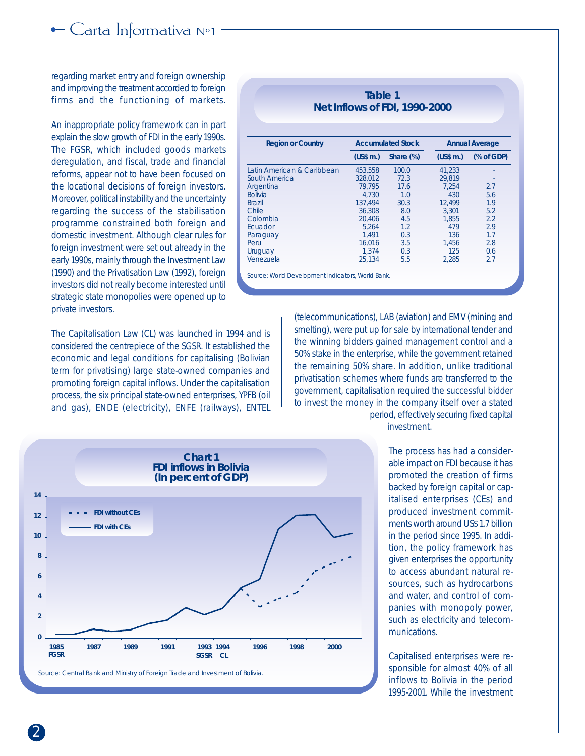### regarding market entry and foreign ownership and improving the treatment accorded to foreign firms and the functioning of markets.

An inappropriate policy framework can in part explain the slow growth of FDI in the early 1990s. The FGSR, which included goods markets deregulation, and fiscal, trade and financial reforms, appear not to have been focused on the locational decisions of foreign investors. Moreover, political instability and the uncertainty regarding the success of the stabilisation programme constrained both foreign and domestic investment. Although clear rules for foreign investment were set out already in the early 1990s, mainly through the Investment Law (1990) and the Privatisation Law (1992), foreign investors did not really become interested until strategic state monopolies were opened up to private investors.

The Capitalisation Law (CL) was launched in 1994 and is considered the centrepiece of the SGSR. It established the economic and legal conditions for capitalising (Bolivian term for privatising) large state-owned companies and promoting foreign capital inflows. Under the capitalisation process, the six principal state-owned enterprises, YPFB (oil and gas), ENDE (electricity), ENFE (railways), ENTEL

**Table 1 Net Inflows of FDI, 1990-2000**

| <b>Region or Country</b>   |                      | <b>Accumulated Stock</b> | Annual Average |          |
|----------------------------|----------------------|--------------------------|----------------|----------|
|                            | $(USS \, \text{m.})$ | Share $(\%)$             | $(USS \, m.)$  | % of GDP |
| Latin American & Caribbean | 453.558              | 100.0                    | 41.233         |          |
| South America              | 328.012              | 72.3                     | 29,819         |          |
| Argentina                  | 79.795               | 17.6                     | 7.254          | 2.7      |
| <b>Bolivia</b>             | 4.730                | 1.0                      | 430            | 5.6      |
| <b>Brazil</b>              | 137.494              | 30.3                     | 12,499         | 1.9      |
| Chile                      | 36.308               | 8.0                      | 3.301          | 5.2      |
| Colombia                   | 20.406               | 4.5                      | 1.855          | 2.2      |
| Ecuador                    | 5.264                | 1.2                      | 479            | 2.9      |
| Paraguay                   | 1.491                | 0.3                      | 136            | 1.7      |
| Peru                       | 16,016               | 3.5                      | 1.456          | 2.8      |
| Uruguay                    | 1.374                | 0.3                      | 125            | 0.6      |
| Venezuela                  | 25,134               | 5.5                      | 2,285          | 2.7      |

(telecommunications), LAB (aviation) and EMV (mining and smelting), were put up for sale by international tender and the winning bidders gained management control and a 50% stake in the enterprise, while the government retained the remaining 50% share. In addition, unlike traditional privatisation schemes where funds are transferred to the government, capitalisation required the successful bidder to invest the money in the company itself over a stated



period, effectively securing fixed capital investment.

> The process has had a considerable impact on FDI because it has promoted the creation of firms backed by foreign capital or capitalised enterprises (CEs) and produced investment commitments worth around US\$ 1.7 billion in the period since 1995. In addition, the policy framework has given enterprises the opportunity to access abundant natural resources, such as hydrocarbons and water, and control of companies with monopoly power, such as electricity and telecommunications.

> Capitalised enterprises were responsible for almost 40% of all inflows to Bolivia in the period 1995-2001. While the investment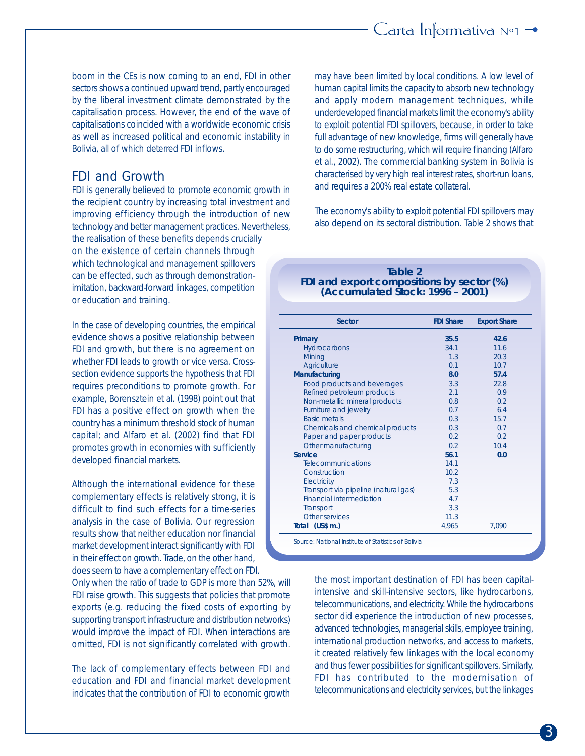boom in the CEs is now coming to an end, FDI in other sectors shows a continued upward trend, partly encouraged by the liberal investment climate demonstrated by the capitalisation process. However, the end of the wave of capitalisations coincided with a worldwide economic crisis as well as increased political and economic instability in Bolivia, all of which deterred FDI inflows.

# FDI and Growth

FDI is generally believed to promote economic growth in the recipient country by increasing total investment and improving efficiency through the introduction of new technology and better management practices. Nevertheless, the realisation of these benefits depends crucially on the existence of certain channels through which technological and management spillovers can be effected, such as through demonstrationimitation, backward-forward linkages, competition or education and training.

In the case of developing countries, the empirical evidence shows a positive relationship between FDI and growth, but there is no agreement on whether FDI leads to growth or vice versa. Crosssection evidence supports the hypothesis that FDI requires preconditions to promote growth. For example, Borensztein et al. (1998) point out that FDI has a positive effect on growth when the country has a minimum threshold stock of human capital; and Alfaro et al. (2002) find that FDI promotes growth in economies with sufficiently developed financial markets.

Although the international evidence for these complementary effects is relatively strong, it is difficult to find such effects for a time-series analysis in the case of Bolivia. Our regression results show that neither education nor financial market development interact significantly with FDI in their effect on growth. Trade, on the other hand, does seem to have a complementary effect on FDI.

Only when the ratio of trade to GDP is more than 52%, will FDI raise growth. This suggests that policies that promote exports (e.g. reducing the fixed costs of exporting by supporting transport infrastructure and distribution networks) would improve the impact of FDI. When interactions are omitted, FDI is not significantly correlated with growth.

The lack of complementary effects between FDI and education and FDI and financial market development indicates that the contribution of FDI to economic growth

may have been limited by local conditions. A low level of human capital limits the capacity to absorb new technology and apply modern management techniques, while underdeveloped financial markets limit the economy's ability to exploit potential FDI spillovers, because, in order to take full advantage of new knowledge, firms will generally have to do some restructuring, which will require financing (Alfaro et al., 2002). The commercial banking system in Bolivia is characterised by very high real interest rates, short-run loans, and requires a 200% real estate collateral.

The economy's ability to exploit potential FDI spillovers may also depend on its sectoral distribution. Table 2 shows that

#### **Table 2 FDI and export compositions by sector (%) (Accumulated Stock: 1996 – 2001)**

| Sector                               | <b>FDI</b> Share | <b>Export Share</b> |
|--------------------------------------|------------------|---------------------|
| Primary                              | 35.5             | 42.6                |
| Hydrocarbons                         | 34.1             | 11.6                |
| Mining                               | 1.3              | 20.3                |
| Agriculture                          | 0.1              | 10.7                |
| Manufacturing                        | 8.0              | 57.4                |
| Food products and beverages          | 3.3              | 22.8                |
| Refined petroleum products           | 2.1              | 0.9                 |
| Non-metallic mineral products        | 0.8              | 0.2                 |
| Furniture and jewelry                | 0.7              | 6.4                 |
| <b>Basic metals</b>                  | 0.3              | 15.7                |
| Chemicals and chemical products      | 0.3              | 0.7                 |
| Paper and paper products             | 0.2              | 0.2                 |
| Other manufacturing                  | 0.2              | 10.4                |
| Service                              | 56.1             | 0.0                 |
| Telecommunications                   | 14.1             |                     |
| Construction                         | 10.2             |                     |
| Electricity                          | 7.3              |                     |
| Transport via pipeline (natural gas) | 5.3              |                     |
| Financial intermediation             | 4.7              |                     |
| Transport                            | 3.3              |                     |
| Other services                       | 11.3             |                     |
| Total (US\$ m.)                      | 4,965            | 7,090               |

the most important destination of FDI has been capitalintensive and skill-intensive sectors, like hydrocarbons, telecommunications, and electricity. While the hydrocarbons sector did experience the introduction of new processes, advanced technologies, managerial skills, employee training, international production networks, and access to markets, it created relatively few linkages with the local economy and thus fewer possibilities for significant spillovers. Similarly, FDI has contributed to the modernisation of telecommunications and electricity services, but the linkages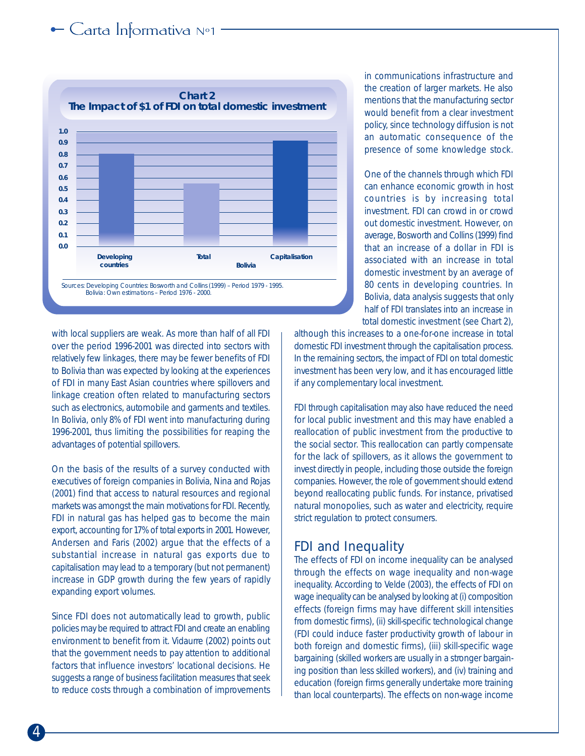# $\leftarrow$  Carta Informativa N°1



with local suppliers are weak. As more than half of all FDI over the period 1996-2001 was directed into sectors with relatively few linkages, there may be fewer benefits of FDI to Bolivia than was expected by looking at the experiences of FDI in many East Asian countries where spillovers and linkage creation often related to manufacturing sectors such as electronics, automobile and garments and textiles. In Bolivia, only 8% of FDI went into manufacturing during 1996-2001, thus limiting the possibilities for reaping the advantages of potential spillovers.

On the basis of the results of a survey conducted with executives of foreign companies in Bolivia, Nina and Rojas (2001) find that access to natural resources and regional markets was amongst the main motivations for FDI. Recently, FDI in natural gas has helped gas to become the main export, accounting for 17% of total exports in 2001. However, Andersen and Faris (2002) argue that the effects of a substantial increase in natural gas exports due to capitalisation may lead to a temporary (but not permanent) increase in GDP growth during the few years of rapidly expanding export volumes.

Since FDI does not automatically lead to growth, public policies may be required to attract FDI and create an enabling environment to benefit from it. Vidaurre (2002) points out that the government needs to pay attention to additional factors that influence investors' locational decisions. He suggests a range of business facilitation measures that seek to reduce costs through a combination of improvements

in communications infrastructure and the creation of larger markets. He also mentions that the manufacturing sector would benefit from a clear investment policy, since technology diffusion is not an automatic consequence of the presence of some knowledge stock.

One of the channels through which FDI can enhance economic growth in host countries is by increasing total investment. FDI can crowd in or crowd out domestic investment. However, on average, Bosworth and Collins (1999) find that an increase of a dollar in FDI is associated with an increase in total domestic investment by an average of 80 cents in developing countries. In Bolivia, data analysis suggests that only half of FDI translates into an increase in total domestic investment (see Chart 2),

although this increases to a one-for-one increase in total domestic FDI investment through the capitalisation process. In the remaining sectors, the impact of FDI on total domestic investment has been very low, and it has encouraged little if any complementary local investment.

FDI through capitalisation may also have reduced the need for local public investment and this may have enabled a reallocation of public investment from the productive to the social sector. This reallocation can partly compensate for the lack of spillovers, as it allows the government to invest directly in people, including those outside the foreign companies. However, the role of government should extend beyond reallocating public funds. For instance, privatised natural monopolies, such as water and electricity, require strict regulation to protect consumers.

# FDI and Inequality

The effects of FDI on income inequality can be analysed through the effects on wage inequality and non-wage inequality. According to Velde (2003), the effects of FDI on wage inequality can be analysed by looking at (i) composition effects (foreign firms may have different skill intensities from domestic firms), (ii) skill-specific technological change (FDI could induce faster productivity growth of labour in both foreign and domestic firms), (iii) skill-specific wage bargaining (skilled workers are usually in a stronger bargaining position than less skilled workers), and (iv) training and education (foreign firms generally undertake more training than local counterparts). The effects on non-wage income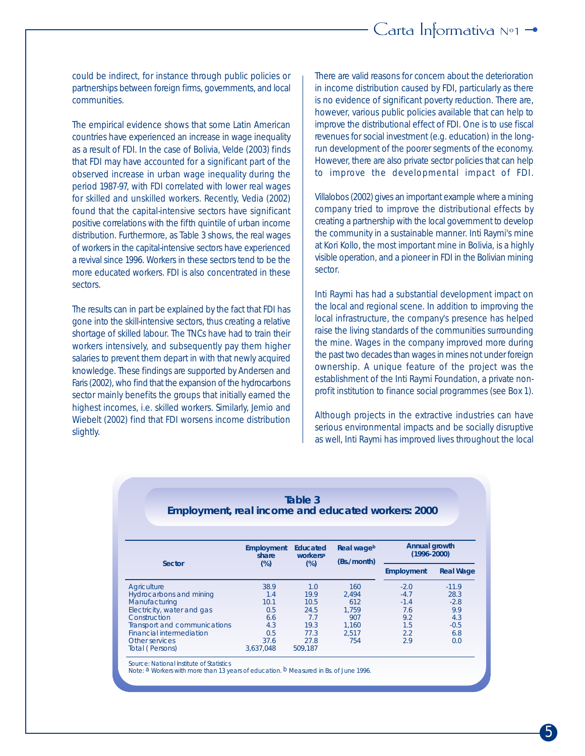# Carta Informativa  $N^{\circ}1$   $\rightarrow$

could be indirect, for instance through public policies or partnerships between foreign firms, governments, and local communities.

The empirical evidence shows that some Latin American countries have experienced an increase in wage inequality as a result of FDI. In the case of Bolivia, Velde (2003) finds that FDI may have accounted for a significant part of the observed increase in urban wage inequality during the period 1987-97, with FDI correlated with lower real wages for skilled and unskilled workers. Recently, Vedia (2002) found that the capital-intensive sectors have significant positive correlations with the fifth quintile of urban income distribution. Furthermore, as Table 3 shows, the real wages of workers in the capital-intensive sectors have experienced a revival since 1996. Workers in these sectors tend to be the more educated workers. FDI is also concentrated in these sectors.

The results can in part be explained by the fact that FDI has gone into the skill-intensive sectors, thus creating a relative shortage of skilled labour. The TNCs have had to train their workers intensively, and subsequently pay them higher salaries to prevent them depart in with that newly acquired knowledge. These findings are supported by Andersen and Faris (2002), who find that the expansion of the hydrocarbons sector mainly benefits the groups that initially earned the highest incomes, i.e. skilled workers. Similarly, Jemio and Wiebelt (2002) find that FDI worsens income distribution slightly.

There are valid reasons for concern about the deterioration in income distribution caused by FDI, particularly as there is no evidence of significant poverty reduction. There are, however, various public policies available that can help to improve the distributional effect of FDI. One is to use fiscal revenues for social investment (e.g. education) in the longrun development of the poorer segments of the economy. However, there are also private sector policies that can help to improve the developmental impact of FDI.

Villalobos (2002) gives an important example where a mining company tried to improve the distributional effects by creating a partnership with the local government to develop the community in a sustainable manner. Inti Raymi's mine at Kori Kollo, the most important mine in Bolivia, is a highly visible operation, and a pioneer in FDI in the Bolivian mining sector.

Inti Raymi has had a substantial development impact on the local and regional scene. In addition to improving the local infrastructure, the company's presence has helped raise the living standards of the communities surrounding the mine. Wages in the company improved more during the past two decades than wages in mines not under foreign ownership. A unique feature of the project was the establishment of the Inti Raymi Foundation, a private nonprofit institution to finance social programmes (see Box 1).

Although projects in the extractive industries can have serious environmental impacts and be socially disruptive as well, Inti Raymi has improved lives throughout the local

| Employment, real income and educated workers: 2000 |                            | Table 3                                 |                           |                                  |           |
|----------------------------------------------------|----------------------------|-----------------------------------------|---------------------------|----------------------------------|-----------|
| Sector                                             | Employment<br>share<br>(%) | Educated<br>workers <sup>a</sup><br>(%) | Real wageb<br>(Bs./month) | Annual growth<br>$(1996 - 2000)$ |           |
|                                                    |                            |                                         |                           | Employment                       | Real Wage |
| Agriculture                                        | 38.9                       | 1.0                                     | 160                       | $-2.0$                           | $-11.9$   |
| Hydrocarbons and mining                            | 1.4                        | 19.9                                    | 2.494                     | $-4.7$                           | 28.3      |
| Manufacturing                                      | 10.1                       | 10.5                                    | 612                       | $-1.4$                           | $-2.8$    |
| Electricity, water and gas                         | 0.5                        | 24.5                                    | 1.759                     | 7.6                              | 9.9       |
| Construction                                       | 6.6                        | 7.7                                     | 907                       | 9.2                              | 4.3       |
| Transport and communications                       | 4.3                        | 19.3                                    | 1.160                     | 1.5                              | $-0.5$    |
| <b>Financial intermediation</b>                    | 0.5                        | 77.3                                    | 2.517                     | 2.2                              | 6.8       |
| Other services                                     | 37.6                       | 27.8                                    | 754                       | 2.9                              | 0.0       |
| Total (Persons)                                    | 3,637,048                  | 509.187                                 |                           |                                  |           |

Source: National Institute of Statistics

Note: a Workers with more than 13 years of education. b Measured in Bs. of June 1996.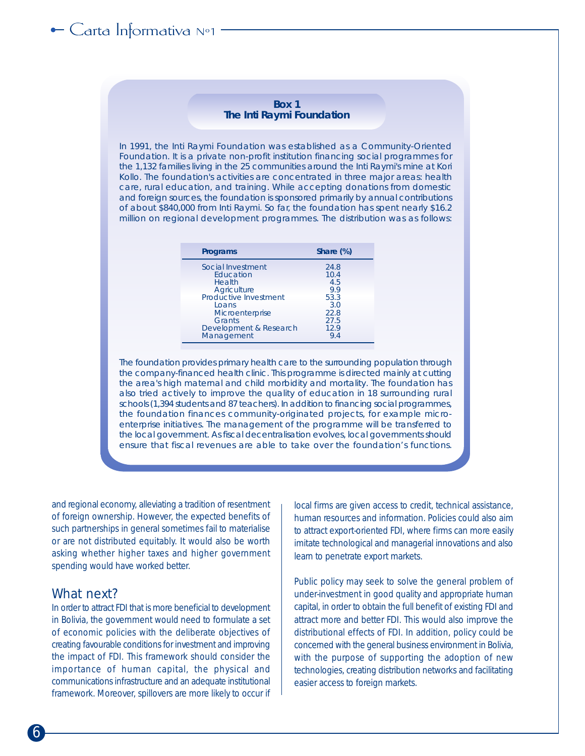# $\leftarrow$  Carta Informativa N°1

#### **Box 1 The Inti Raymi Foundation**

In 1991, the Inti Raymi Foundation was established as a Community-Oriented Foundation. It is a private non-profit institution financing social programmes for the 1,132 families living in the 25 communities around the Inti Raymi's mine at Kori Kollo. The foundation's activities are concentrated in three major areas: health care, rural education, and training. While accepting donations from domestic and foreign sources, the foundation is sponsored primarily by annual contributions of about \$840,000 from Inti Raymi. So far, the foundation has spent nearly \$16.2 million on regional development programmes. The distribution was as follows:

| Programs                                                                                                               | Share $(\%)$                                                      |
|------------------------------------------------------------------------------------------------------------------------|-------------------------------------------------------------------|
| Social Investment<br>Education<br>Health<br>Agriculture<br>Productive Investment<br>Loans<br>Microenterprise<br>Grants | 24.8<br>10.4<br>4.5<br>9.9<br>53.3<br>3.0<br>22.8<br>27.5<br>12.9 |
| Development & Research<br>Management                                                                                   | 9.4                                                               |

The foundation provides primary health care to the surrounding population through the company-financed health clinic. This programme is directed mainly at cutting the area's high maternal and child morbidity and mortality. The foundation has also tried actively to improve the quality of education in 18 surrounding rural schools (1,394 students and 87 teachers). In addition to financing social programmes, the foundation finances community-originated projects, for example microenterprise initiatives. The management of the programme will be transferred to the local government. As fiscal decentralisation evolves, local governments should ensure that fiscal revenues are able to take over the foundation's functions.

and regional economy, alleviating a tradition of resentment of foreign ownership. However, the expected benefits of such partnerships in general sometimes fail to materialise or are not distributed equitably. It would also be worth asking whether higher taxes and higher government spending would have worked better.

### What next?

In order to attract FDI that is more beneficial to development in Bolivia, the government would need to formulate a set of economic policies with the deliberate objectives of creating favourable conditions for investment and improving the impact of FDI. This framework should consider the importance of human capital, the physical and communications infrastructure and an adequate institutional framework. Moreover, spillovers are more likely to occur if local firms are given access to credit, technical assistance, human resources and information. Policies could also aim to attract export-oriented FDI, where firms can more easily imitate technological and managerial innovations and also learn to penetrate export markets.

Public policy may seek to solve the general problem of under-investment in good quality and appropriate human capital, in order to obtain the full benefit of existing FDI and attract more and better FDI. This would also improve the distributional effects of FDI. In addition, policy could be concerned with the general business environment in Bolivia, with the purpose of supporting the adoption of new technologies, creating distribution networks and facilitating easier access to foreign markets.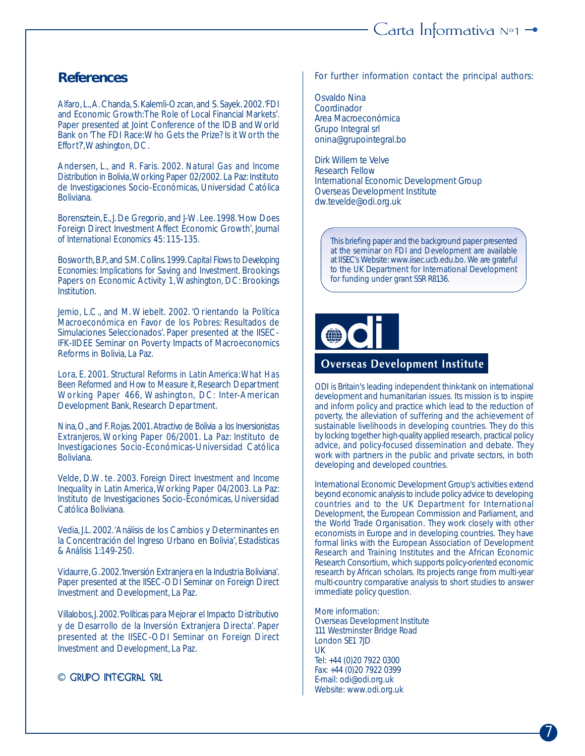# **References**

Alfaro, L., A. Chanda, S. Kalemli-Ozcan, and S. Sayek. 2002. 'FDI and Economic Growth: The Role of Local Financial Markets'. Paper presented at Joint Conference of the IDB and World Bank on 'The FDI Race: Who Gets the Prize? Is it Worth the Effort?', Washington, DC.

Andersen, L., and R. Faris. 2002. *Natural Gas and Income Distribution in Bolivia*, Working Paper 02/2002. La Paz: Instituto de Investigaciones Socio-Económicas, Universidad Católica Boliviana.

Borensztein, E., J. De Gregorio, and J-W. Lee. 1998. 'How Does Foreign Direct Investment Affect Economic Growth', *Journal of International Economics* 45: 115-135.

Bosworth, B.P., and S.M. Collins. 1999. *Capital Flows to Developing Economies: Implications for Saving and Investment.* Brookings Papers on Economic Activity 1, Washington, DC: Brookings Institution.

Jemio, L.C., and M. Wiebelt. 2002. 'Orientando la Política Macroeconómica en Favor de los Pobres: Resultados de Simulaciones Seleccionados'. Paper presented at the IISEC-IFK-IIDEE Seminar on Poverty Impacts of Macroeconomics Reforms in Bolivia, La Paz.

Lora, E. 2001. *Structural Reforms in Latin America: What Has Been Reformed and How to Measure it*, Research Department Working Paper 466, Washington, DC: Inter-American Development Bank, Research Department.

Nina, O., and F. Rojas. 2001. *Atractivo de Bolivia a los Inversionistas Extranjeros*, Working Paper 06/2001. La Paz: Instituto de Investigaciones Socio-Económicas-Universidad Católica Boliviana.

Velde, D.W. te. 2003*. Foreign Direct Investment and Income Inequality in Latin America*, Working Paper 04/2003. La Paz: Instituto de Investigaciones Socio-Económicas, Universidad Católica Boliviana.

Vedia, J.L. 2002. 'Análisis de los Cambios y Determinantes en la Concentración del Ingreso Urbano en Bolivia', *Estadísticas & Análisis* 1:149-250.

Vidaurre, G. 2002. 'Inversión Extranjera en la Industria Boliviana'. Paper presented at the ISEC-ODI Seminar on Foreign Direct Investment and Development, La Paz.

Villalobos, J. 2002. 'Políticas para Mejorar el Impacto Distributivo y de Desarrollo de la Inversión Extranjera Directa'. Paper presented at the IISEC-ODI Seminar on Foreign Direct Investment and Development, La Paz.

© GRUPO INTEGRAL SRL

For further information contact the principal authors:

Osvaldo Nina Coordinador Area Macroeconómica Grupo Integral srl onina@grupointegral.bo

Dirk Willem te Velve Research Fellow International Economic Development Group Overseas Development Institute dw.tevelde@odi.org.uk

This briefing paper and the background paper presented at the seminar on FDI and Development are available at IISEC's Website: www.iisec.ucb.edu.bo. We are grateful to the UK Department for International Development for funding under grant SSR R8136.

### **Overseas Development Institute**

ODI is Britain's leading independent think-tank on international development and humanitarian issues. Its mission is to inspire and inform policy and practice which lead to the reduction of poverty, the alleviation of suffering and the achievement of sustainable livelihoods in developing countries. They do this by locking together high-quality applied research, practical policy advice, and policy-focused dissemination and debate. They work with partners in the public and private sectors, in both developing and developed countries.

International Economic Development Group's activities extend beyond economic analysis to include policy advice to developing countries and to the UK Department for International Development, the European Commission and Parliament, and the World Trade Organisation. They work closely with other economists in Europe and in developing countries. They have formal links with the European Association of Development Research and Training Institutes and the African Economic Research Consortium, which supports policy-oriented economic research by African scholars. Its projects range from multi-year multi-country comparative analysis to short studies to answer immediate policy question.

More information: Overseas Development Institute 111 Westminster Bridge Road London SE1 7JD UK Tel: +44 (0)20 7922 0300 Fax: +44 (0)20 7922 0399 E-mail: odi@odi.org.uk Website: www.odi.org.uk